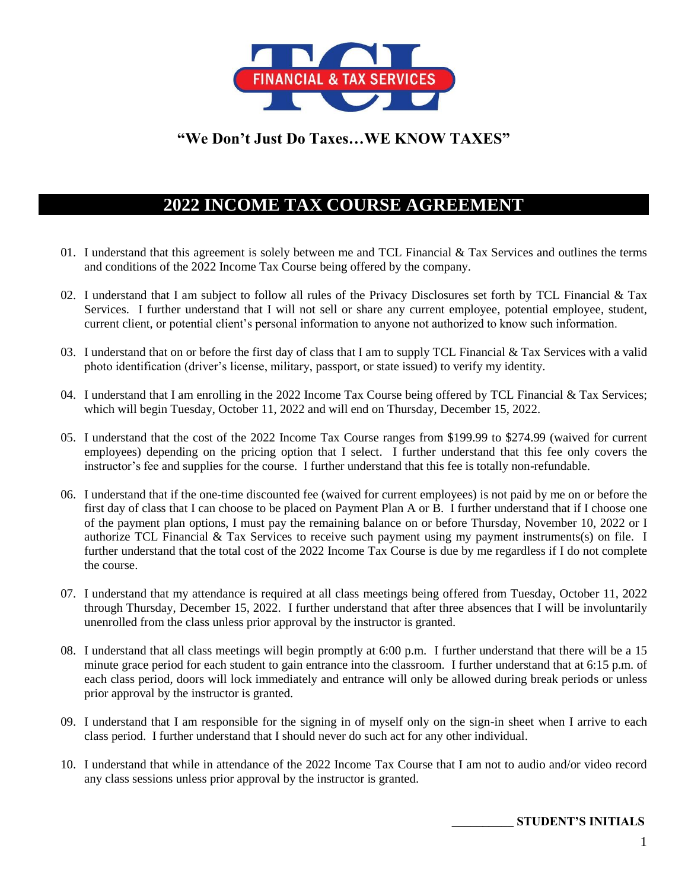

## **"We Don't Just Do Taxes…WE KNOW TAXES"**

# **2022 INCOME TAX COURSE AGREEMENT**

- 01. I understand that this agreement is solely between me and TCL Financial & Tax Services and outlines the terms and conditions of the 2022 Income Tax Course being offered by the company.
- 02. I understand that I am subject to follow all rules of the Privacy Disclosures set forth by TCL Financial  $\&$  Tax Services. I further understand that I will not sell or share any current employee, potential employee, student, current client, or potential client's personal information to anyone not authorized to know such information.
- 03. I understand that on or before the first day of class that I am to supply TCL Financial  $&$  Tax Services with a valid photo identification (driver's license, military, passport, or state issued) to verify my identity.
- 04. I understand that I am enrolling in the 2022 Income Tax Course being offered by TCL Financial & Tax Services; which will begin Tuesday, October 11, 2022 and will end on Thursday, December 15, 2022.
- 05. I understand that the cost of the 2022 Income Tax Course ranges from \$199.99 to \$274.99 (waived for current employees) depending on the pricing option that I select. I further understand that this fee only covers the instructor's fee and supplies for the course. I further understand that this fee is totally non-refundable.
- 06. I understand that if the one-time discounted fee (waived for current employees) is not paid by me on or before the first day of class that I can choose to be placed on Payment Plan A or B. I further understand that if I choose one of the payment plan options, I must pay the remaining balance on or before Thursday, November 10, 2022 or I authorize TCL Financial & Tax Services to receive such payment using my payment instruments(s) on file. I further understand that the total cost of the 2022 Income Tax Course is due by me regardless if I do not complete the course.
- 07. I understand that my attendance is required at all class meetings being offered from Tuesday, October 11, 2022 through Thursday, December 15, 2022. I further understand that after three absences that I will be involuntarily unenrolled from the class unless prior approval by the instructor is granted.
- 08. I understand that all class meetings will begin promptly at 6:00 p.m. I further understand that there will be a 15 minute grace period for each student to gain entrance into the classroom. I further understand that at 6:15 p.m. of each class period, doors will lock immediately and entrance will only be allowed during break periods or unless prior approval by the instructor is granted.
- 09. I understand that I am responsible for the signing in of myself only on the sign-in sheet when I arrive to each class period. I further understand that I should never do such act for any other individual.
- 10. I understand that while in attendance of the 2022 Income Tax Course that I am not to audio and/or video record any class sessions unless prior approval by the instructor is granted.

 **\_\_\_\_\_\_\_\_\_\_ STUDENT'S INITIALS**